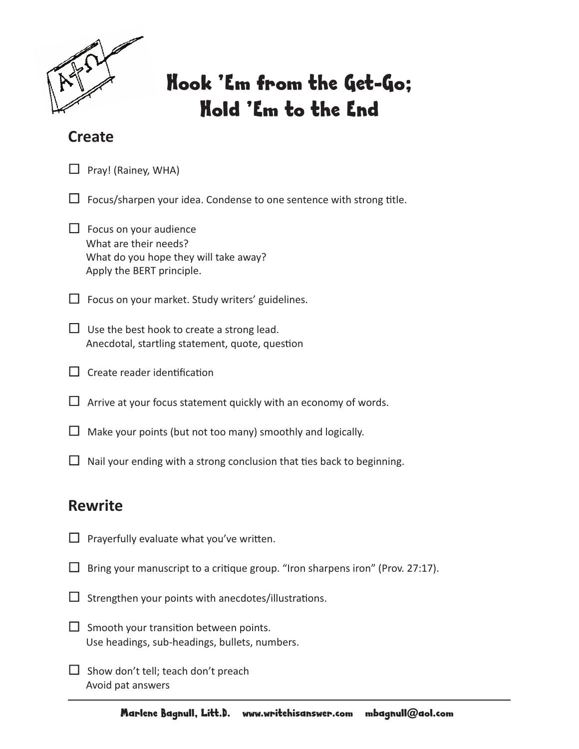

# Hook 'Em from the Get-Go; Hold 'Em to the End

### **Create**

 $\Box$  Pray! (Rainey, WHA)

 $\Box$  Focus/sharpen your idea. Condense to one sentence with strong title.

 $\Box$  Focus on your audience What are their needs? What do you hope they will take away? Apply the BERT principle.

 $\Box$  Focus on your market. Study writers' guidelines.

 $\Box$  Use the best hook to create a strong lead. Anecdotal, startling statement, quote, question

 $\Box$  Create reader identification

 $\Box$  Arrive at your focus statement quickly with an economy of words.

 $\Box$  Make your points (but not too many) smoothly and logically.

 $\Box$  Nail your ending with a strong conclusion that ties back to beginning.

## **Rewrite**

- $\Box$  Prayerfully evaluate what you've written.
- $\Box$  Bring your manuscript to a critique group. "Iron sharpens iron" (Prov. 27:17).
- $\Box$  Strengthen your points with anecdotes/illustrations.
- $\Box$  Smooth your transition between points. Use headings, sub-headings, bullets, numbers.
- $\Box$  Show don't tell; teach don't preach Avoid pat answers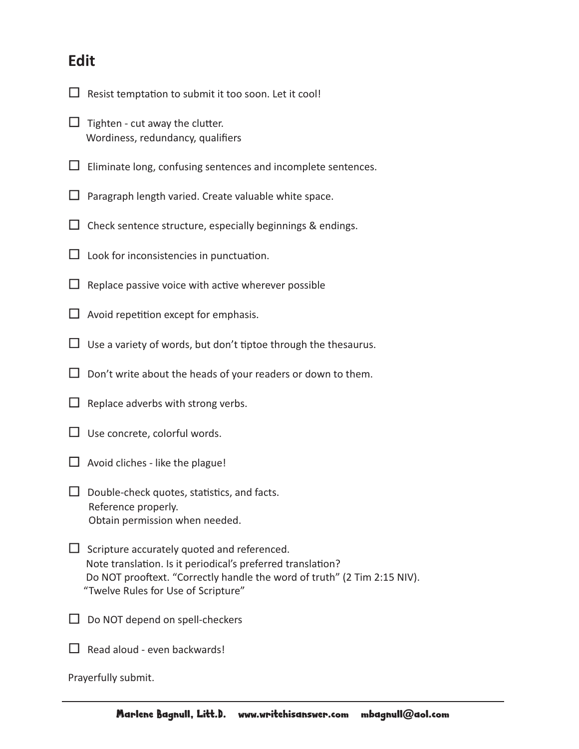#### **Edit**

- $\Box$  Resist temptation to submit it too soon. Let it cool!
- $\Box$  Tighten cut away the clutter. Wordiness, redundancy, qualifiers
- $\Box$  Eliminate long, confusing sentences and incomplete sentences.
- $\Box$  Paragraph length varied. Create valuable white space.
- $\Box$  Check sentence structure, especially beginnings & endings.
- $\Box$  Look for inconsistencies in punctuation.
- $\Box$  Replace passive voice with active wherever possible
- $\Box$  Avoid repetition except for emphasis.
- $\Box$  Use a variety of words, but don't tiptoe through the thesaurus.
- $\square$  Don't write about the heads of your readers or down to them.
- $\Box$  Replace adverbs with strong verbs.
- $\Box$  Use concrete, colorful words.
- $\Box$  Avoid cliches like the plague!
- $\Box$  Double-check quotes, statistics, and facts. Reference properly. Obtain permission when needed.
- $\square$  Scripture accurately quoted and referenced. Note translation. Is it periodical's preferred translation? Do NOT prooftext. "Correctly handle the word of truth" (2 Tim 2:15 NIV). "Twelve Rules for Use of Scripture"
- $\Box$  Do NOT depend on spell-checkers
- $\Box$  Read aloud even backwards!

Prayerfully submit.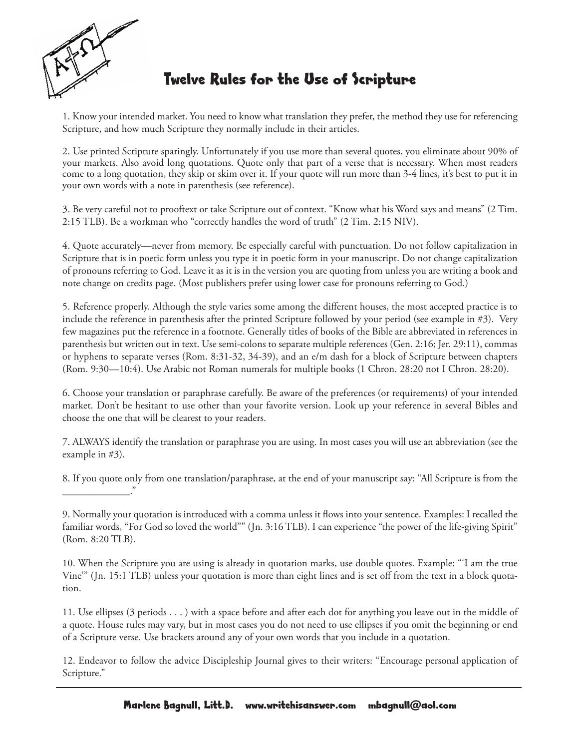

## Twelve Rules for the Use of Scripture

1. Know your intended market. You need to know what translation they prefer, the method they use for referencing Scripture, and how much Scripture they normally include in their articles.

2. Use printed Scripture sparingly. Unfortunately if you use more than several quotes, you eliminate about 90% of your markets. Also avoid long quotations. Quote only that part of a verse that is necessary. When most readers come to a long quotation, they skip or skim over it. If your quote will run more than 3-4 lines, it's best to put it in your own words with a note in parenthesis (see reference).

3. Be very careful not to prooftext or take Scripture out of context. "Know what his Word says and means" (2 Tim. 2:15 TLB). Be a workman who "correctly handles the word of truth" (2 Tim. 2:15 NIV).

4. Quote accurately—never from memory. Be especially careful with punctuation. Do not follow capitalization in Scripture that is in poetic form unless you type it in poetic form in your manuscript. Do not change capitalization of pronouns referring to God. Leave it as it is in the version you are quoting from unless you are writing a book and note change on credits page. (Most publishers prefer using lower case for pronouns referring to God.)

5. Reference properly. Although the style varies some among the different houses, the most accepted practice is to include the reference in parenthesis after the printed Scripture followed by your period (see example in #3). Very few magazines put the reference in a footnote. Generally titles of books of the Bible are abbreviated in references in parenthesis but written out in text. Use semi-colons to separate multiple references (Gen. 2:16; Jer. 29:11), commas or hyphens to separate verses (Rom. 8:31-32, 34-39), and an e/m dash for a block of Scripture between chapters (Rom. 9:30—10:4). Use Arabic not Roman numerals for multiple books (1 Chron. 28:20 not I Chron. 28:20).

6. Choose your translation or paraphrase carefully. Be aware of the preferences (or requirements) of your intended market. Don't be hesitant to use other than your favorite version. Look up your reference in several Bibles and choose the one that will be clearest to your readers.

7. ALWAYS identify the translation or paraphrase you are using. In most cases you will use an abbreviation (see the example in #3).

8. If you quote only from one translation/paraphrase, at the end of your manuscript say: "All Scripture is from the \_\_\_\_\_\_\_\_\_\_\_\_\_."

9. Normally your quotation is introduced with a comma unless it flows into your sentence. Examples: I recalled the familiar words, "For God so loved the world"" (Jn. 3:16 TLB). I can experience "the power of the life-giving Spirit" (Rom. 8:20 TLB).

10. When the Scripture you are using is already in quotation marks, use double quotes. Example: "'I am the true Vine'" (Jn. 15:1 TLB) unless your quotation is more than eight lines and is set off from the text in a block quotation.

11. Use ellipses (3 periods . . . ) with a space before and after each dot for anything you leave out in the middle of a quote. House rules may vary, but in most cases you do not need to use ellipses if you omit the beginning or end of a Scripture verse. Use brackets around any of your own words that you include in a quotation.

12. Endeavor to follow the advice Discipleship Journal gives to their writers: "Encourage personal application of Scripture."